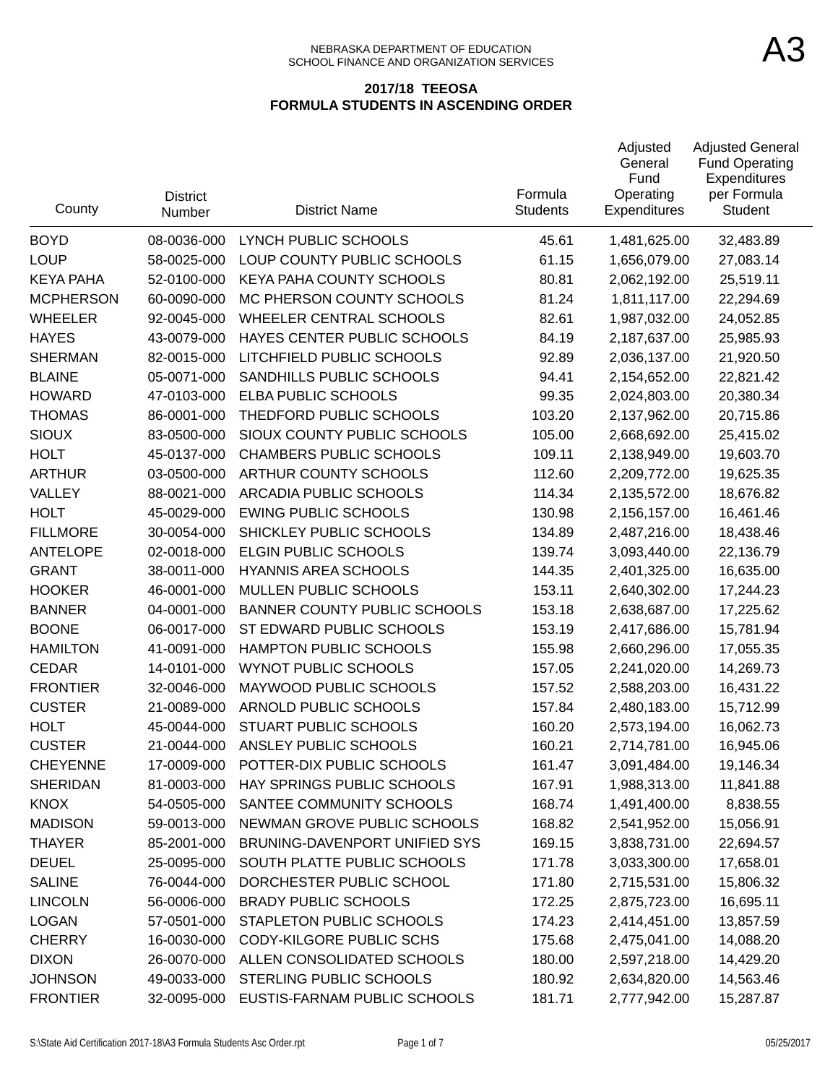#### NEBRASKA DEPARTMENT OF EDUCATION SCHOOL FINANCE AND ORGANIZATION SERVICES

| County           | <b>District</b><br>Number | <b>District Name</b>                | Formula<br><b>Students</b> | Adjusted<br>General<br>Fund<br>Operating<br>Expenditures | <b>Adjusted General</b><br><b>Fund Operating</b><br>Expenditures<br>per Formula<br>Student |
|------------------|---------------------------|-------------------------------------|----------------------------|----------------------------------------------------------|--------------------------------------------------------------------------------------------|
| <b>BOYD</b>      | 08-0036-000               | LYNCH PUBLIC SCHOOLS                | 45.61                      | 1,481,625.00                                             | 32,483.89                                                                                  |
| <b>LOUP</b>      | 58-0025-000               | LOUP COUNTY PUBLIC SCHOOLS          | 61.15                      | 1,656,079.00                                             | 27,083.14                                                                                  |
| <b>KEYA PAHA</b> | 52-0100-000               | KEYA PAHA COUNTY SCHOOLS            | 80.81                      | 2,062,192.00                                             | 25,519.11                                                                                  |
| <b>MCPHERSON</b> | 60-0090-000               | MC PHERSON COUNTY SCHOOLS           | 81.24                      | 1,811,117.00                                             | 22,294.69                                                                                  |
| <b>WHEELER</b>   | 92-0045-000               | <b>WHEELER CENTRAL SCHOOLS</b>      | 82.61                      | 1,987,032.00                                             | 24,052.85                                                                                  |
| <b>HAYES</b>     | 43-0079-000               | HAYES CENTER PUBLIC SCHOOLS         | 84.19                      | 2,187,637.00                                             | 25,985.93                                                                                  |
| <b>SHERMAN</b>   | 82-0015-000               | LITCHFIELD PUBLIC SCHOOLS           | 92.89                      | 2,036,137.00                                             | 21,920.50                                                                                  |
| <b>BLAINE</b>    | 05-0071-000               | SANDHILLS PUBLIC SCHOOLS            | 94.41                      | 2,154,652.00                                             | 22,821.42                                                                                  |
| <b>HOWARD</b>    | 47-0103-000               | ELBA PUBLIC SCHOOLS                 | 99.35                      | 2,024,803.00                                             | 20,380.34                                                                                  |
| <b>THOMAS</b>    | 86-0001-000               | THEDFORD PUBLIC SCHOOLS             | 103.20                     | 2,137,962.00                                             | 20,715.86                                                                                  |
| <b>SIOUX</b>     | 83-0500-000               | SIOUX COUNTY PUBLIC SCHOOLS         | 105.00                     | 2,668,692.00                                             | 25,415.02                                                                                  |
| <b>HOLT</b>      | 45-0137-000               | <b>CHAMBERS PUBLIC SCHOOLS</b>      | 109.11                     | 2,138,949.00                                             | 19,603.70                                                                                  |
| <b>ARTHUR</b>    | 03-0500-000               | ARTHUR COUNTY SCHOOLS               | 112.60                     | 2,209,772.00                                             | 19,625.35                                                                                  |
| VALLEY           | 88-0021-000               | <b>ARCADIA PUBLIC SCHOOLS</b>       | 114.34                     | 2,135,572.00                                             | 18,676.82                                                                                  |
| <b>HOLT</b>      | 45-0029-000               | <b>EWING PUBLIC SCHOOLS</b>         | 130.98                     | 2,156,157.00                                             | 16,461.46                                                                                  |
| <b>FILLMORE</b>  | 30-0054-000               | SHICKLEY PUBLIC SCHOOLS             | 134.89                     | 2,487,216.00                                             | 18,438.46                                                                                  |
| <b>ANTELOPE</b>  | 02-0018-000               | ELGIN PUBLIC SCHOOLS                | 139.74                     | 3,093,440.00                                             | 22,136.79                                                                                  |
| <b>GRANT</b>     | 38-0011-000               | <b>HYANNIS AREA SCHOOLS</b>         | 144.35                     | 2,401,325.00                                             | 16,635.00                                                                                  |
| <b>HOOKER</b>    | 46-0001-000               | MULLEN PUBLIC SCHOOLS               | 153.11                     | 2,640,302.00                                             | 17,244.23                                                                                  |
| <b>BANNER</b>    | 04-0001-000               | <b>BANNER COUNTY PUBLIC SCHOOLS</b> | 153.18                     | 2,638,687.00                                             | 17,225.62                                                                                  |
| <b>BOONE</b>     | 06-0017-000               | ST EDWARD PUBLIC SCHOOLS            | 153.19                     | 2,417,686.00                                             | 15,781.94                                                                                  |
| <b>HAMILTON</b>  | 41-0091-000               | HAMPTON PUBLIC SCHOOLS              | 155.98                     | 2,660,296.00                                             | 17,055.35                                                                                  |
| <b>CEDAR</b>     | 14-0101-000               | <b>WYNOT PUBLIC SCHOOLS</b>         | 157.05                     | 2,241,020.00                                             | 14,269.73                                                                                  |
| <b>FRONTIER</b>  | 32-0046-000               | MAYWOOD PUBLIC SCHOOLS              | 157.52                     | 2,588,203.00                                             | 16,431.22                                                                                  |
| <b>CUSTER</b>    | 21-0089-000               | ARNOLD PUBLIC SCHOOLS               | 157.84                     | 2,480,183.00                                             | 15,712.99                                                                                  |
| <b>HOLT</b>      | 45-0044-000               | <b>STUART PUBLIC SCHOOLS</b>        | 160.20                     | 2,573,194.00                                             | 16,062.73                                                                                  |
| <b>CUSTER</b>    | 21-0044-000               | ANSLEY PUBLIC SCHOOLS               | 160.21                     | 2,714,781.00                                             | 16,945.06                                                                                  |
| <b>CHEYENNE</b>  | 17-0009-000               | POTTER-DIX PUBLIC SCHOOLS           | 161.47                     | 3,091,484.00                                             | 19,146.34                                                                                  |
| <b>SHERIDAN</b>  | 81-0003-000               | HAY SPRINGS PUBLIC SCHOOLS          | 167.91                     | 1,988,313.00                                             | 11,841.88                                                                                  |
| <b>KNOX</b>      | 54-0505-000               | SANTEE COMMUNITY SCHOOLS            | 168.74                     | 1,491,400.00                                             | 8,838.55                                                                                   |
| <b>MADISON</b>   | 59-0013-000               | NEWMAN GROVE PUBLIC SCHOOLS         | 168.82                     | 2,541,952.00                                             | 15,056.91                                                                                  |
| <b>THAYER</b>    | 85-2001-000               | BRUNING-DAVENPORT UNIFIED SYS       | 169.15                     | 3,838,731.00                                             | 22,694.57                                                                                  |
| <b>DEUEL</b>     | 25-0095-000               | SOUTH PLATTE PUBLIC SCHOOLS         | 171.78                     | 3,033,300.00                                             | 17,658.01                                                                                  |
| <b>SALINE</b>    | 76-0044-000               | DORCHESTER PUBLIC SCHOOL            | 171.80                     | 2,715,531.00                                             | 15,806.32                                                                                  |
| <b>LINCOLN</b>   | 56-0006-000               | <b>BRADY PUBLIC SCHOOLS</b>         | 172.25                     | 2,875,723.00                                             | 16,695.11                                                                                  |
| <b>LOGAN</b>     | 57-0501-000               | STAPLETON PUBLIC SCHOOLS            | 174.23                     | 2,414,451.00                                             | 13,857.59                                                                                  |
| <b>CHERRY</b>    | 16-0030-000               | <b>CODY-KILGORE PUBLIC SCHS</b>     | 175.68                     | 2,475,041.00                                             | 14,088.20                                                                                  |
| <b>DIXON</b>     | 26-0070-000               | ALLEN CONSOLIDATED SCHOOLS          | 180.00                     | 2,597,218.00                                             | 14,429.20                                                                                  |
| <b>JOHNSON</b>   | 49-0033-000               | STERLING PUBLIC SCHOOLS             | 180.92                     | 2,634,820.00                                             | 14,563.46                                                                                  |
| <b>FRONTIER</b>  | 32-0095-000               | EUSTIS-FARNAM PUBLIC SCHOOLS        | 181.71                     | 2,777,942.00                                             | 15,287.87                                                                                  |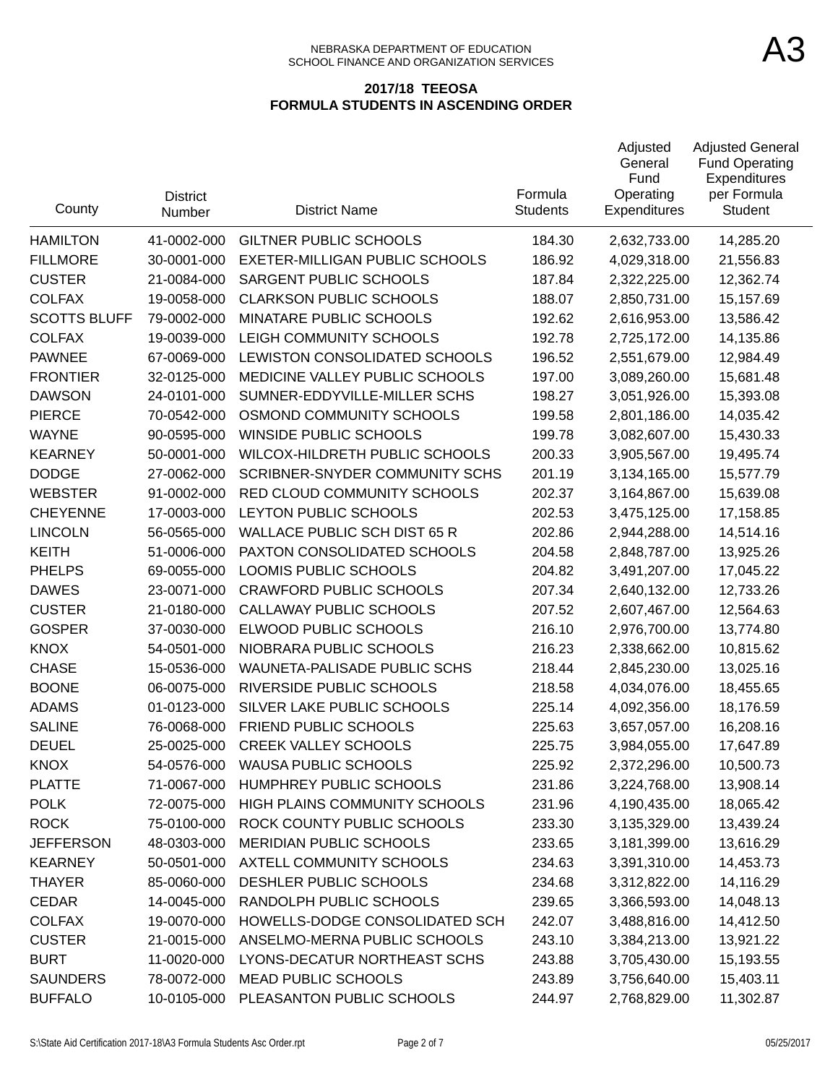| County              | <b>District</b><br>Number | <b>District Name</b>                  | Formula<br><b>Students</b> | Adjusted<br>General<br>Fund<br>Operating<br><b>Expenditures</b> | <b>Adjusted General</b><br><b>Fund Operating</b><br>Expenditures<br>per Formula<br>Student |
|---------------------|---------------------------|---------------------------------------|----------------------------|-----------------------------------------------------------------|--------------------------------------------------------------------------------------------|
| <b>HAMILTON</b>     | 41-0002-000               | <b>GILTNER PUBLIC SCHOOLS</b>         | 184.30                     | 2,632,733.00                                                    | 14,285.20                                                                                  |
| <b>FILLMORE</b>     | 30-0001-000               | EXETER-MILLIGAN PUBLIC SCHOOLS        | 186.92                     | 4,029,318.00                                                    | 21,556.83                                                                                  |
| <b>CUSTER</b>       | 21-0084-000               | SARGENT PUBLIC SCHOOLS                | 187.84                     | 2,322,225.00                                                    | 12,362.74                                                                                  |
| <b>COLFAX</b>       | 19-0058-000               | <b>CLARKSON PUBLIC SCHOOLS</b>        | 188.07                     | 2,850,731.00                                                    | 15,157.69                                                                                  |
| <b>SCOTTS BLUFF</b> | 79-0002-000               | MINATARE PUBLIC SCHOOLS               | 192.62                     | 2,616,953.00                                                    | 13,586.42                                                                                  |
| <b>COLFAX</b>       | 19-0039-000               | LEIGH COMMUNITY SCHOOLS               | 192.78                     | 2,725,172.00                                                    | 14,135.86                                                                                  |
| <b>PAWNEE</b>       | 67-0069-000               | LEWISTON CONSOLIDATED SCHOOLS         | 196.52                     | 2,551,679.00                                                    | 12,984.49                                                                                  |
| <b>FRONTIER</b>     | 32-0125-000               | MEDICINE VALLEY PUBLIC SCHOOLS        | 197.00                     | 3,089,260.00                                                    | 15,681.48                                                                                  |
| <b>DAWSON</b>       | 24-0101-000               | SUMNER-EDDYVILLE-MILLER SCHS          | 198.27                     | 3,051,926.00                                                    | 15,393.08                                                                                  |
| <b>PIERCE</b>       | 70-0542-000               | OSMOND COMMUNITY SCHOOLS              | 199.58                     | 2,801,186.00                                                    | 14,035.42                                                                                  |
| <b>WAYNE</b>        | 90-0595-000               | WINSIDE PUBLIC SCHOOLS                | 199.78                     | 3,082,607.00                                                    | 15,430.33                                                                                  |
| <b>KEARNEY</b>      | 50-0001-000               | WILCOX-HILDRETH PUBLIC SCHOOLS        | 200.33                     | 3,905,567.00                                                    | 19,495.74                                                                                  |
| <b>DODGE</b>        | 27-0062-000               | <b>SCRIBNER-SNYDER COMMUNITY SCHS</b> | 201.19                     | 3,134,165.00                                                    | 15,577.79                                                                                  |
| <b>WEBSTER</b>      | 91-0002-000               | RED CLOUD COMMUNITY SCHOOLS           | 202.37                     | 3,164,867.00                                                    | 15,639.08                                                                                  |
| <b>CHEYENNE</b>     | 17-0003-000               | LEYTON PUBLIC SCHOOLS                 | 202.53                     | 3,475,125.00                                                    | 17,158.85                                                                                  |
| <b>LINCOLN</b>      | 56-0565-000               | <b>WALLACE PUBLIC SCH DIST 65 R</b>   | 202.86                     | 2,944,288.00                                                    | 14,514.16                                                                                  |
| <b>KEITH</b>        | 51-0006-000               | PAXTON CONSOLIDATED SCHOOLS           | 204.58                     | 2,848,787.00                                                    | 13,925.26                                                                                  |
| <b>PHELPS</b>       | 69-0055-000               | LOOMIS PUBLIC SCHOOLS                 | 204.82                     | 3,491,207.00                                                    | 17,045.22                                                                                  |
| <b>DAWES</b>        | 23-0071-000               | <b>CRAWFORD PUBLIC SCHOOLS</b>        | 207.34                     | 2,640,132.00                                                    | 12,733.26                                                                                  |
| <b>CUSTER</b>       | 21-0180-000               | CALLAWAY PUBLIC SCHOOLS               | 207.52                     | 2,607,467.00                                                    | 12,564.63                                                                                  |
| <b>GOSPER</b>       | 37-0030-000               | ELWOOD PUBLIC SCHOOLS                 | 216.10                     | 2,976,700.00                                                    | 13,774.80                                                                                  |
| <b>KNOX</b>         | 54-0501-000               | NIOBRARA PUBLIC SCHOOLS               | 216.23                     | 2,338,662.00                                                    | 10,815.62                                                                                  |
| <b>CHASE</b>        | 15-0536-000               | WAUNETA-PALISADE PUBLIC SCHS          | 218.44                     | 2,845,230.00                                                    | 13,025.16                                                                                  |
| <b>BOONE</b>        | 06-0075-000               | RIVERSIDE PUBLIC SCHOOLS              | 218.58                     | 4,034,076.00                                                    | 18,455.65                                                                                  |
| <b>ADAMS</b>        | 01-0123-000               | SILVER LAKE PUBLIC SCHOOLS            | 225.14                     | 4,092,356.00                                                    | 18,176.59                                                                                  |
| <b>SALINE</b>       | 76-0068-000               | <b>FRIEND PUBLIC SCHOOLS</b>          | 225.63                     | 3,657,057.00                                                    | 16,208.16                                                                                  |
| <b>DEUEL</b>        | 25-0025-000               | <b>CREEK VALLEY SCHOOLS</b>           | 225.75                     | 3,984,055.00                                                    | 17,647.89                                                                                  |
| KNOX                | 54-0576-000               | <b>WAUSA PUBLIC SCHOOLS</b>           | 225.92                     | 2,372,296.00                                                    | 10,500.73                                                                                  |
| <b>PLATTE</b>       | 71-0067-000               | HUMPHREY PUBLIC SCHOOLS               | 231.86                     | 3,224,768.00                                                    | 13,908.14                                                                                  |
| <b>POLK</b>         | 72-0075-000               | HIGH PLAINS COMMUNITY SCHOOLS         | 231.96                     | 4,190,435.00                                                    | 18,065.42                                                                                  |
| <b>ROCK</b>         | 75-0100-000               | ROCK COUNTY PUBLIC SCHOOLS            | 233.30                     | 3,135,329.00                                                    | 13,439.24                                                                                  |
| <b>JEFFERSON</b>    | 48-0303-000               | <b>MERIDIAN PUBLIC SCHOOLS</b>        | 233.65                     | 3,181,399.00                                                    | 13,616.29                                                                                  |
| <b>KEARNEY</b>      | 50-0501-000               | AXTELL COMMUNITY SCHOOLS              | 234.63                     | 3,391,310.00                                                    | 14,453.73                                                                                  |
| <b>THAYER</b>       | 85-0060-000               | DESHLER PUBLIC SCHOOLS                | 234.68                     | 3,312,822.00                                                    | 14,116.29                                                                                  |
| <b>CEDAR</b>        | 14-0045-000               | RANDOLPH PUBLIC SCHOOLS               | 239.65                     | 3,366,593.00                                                    | 14,048.13                                                                                  |
| <b>COLFAX</b>       | 19-0070-000               | HOWELLS-DODGE CONSOLIDATED SCH        | 242.07                     | 3,488,816.00                                                    | 14,412.50                                                                                  |
| <b>CUSTER</b>       | 21-0015-000               | ANSELMO-MERNA PUBLIC SCHOOLS          | 243.10                     | 3,384,213.00                                                    | 13,921.22                                                                                  |
| <b>BURT</b>         | 11-0020-000               | LYONS-DECATUR NORTHEAST SCHS          | 243.88                     | 3,705,430.00                                                    | 15,193.55                                                                                  |
| <b>SAUNDERS</b>     | 78-0072-000               | <b>MEAD PUBLIC SCHOOLS</b>            | 243.89                     | 3,756,640.00                                                    | 15,403.11                                                                                  |
| <b>BUFFALO</b>      | 10-0105-000               | PLEASANTON PUBLIC SCHOOLS             | 244.97                     | 2,768,829.00                                                    | 11,302.87                                                                                  |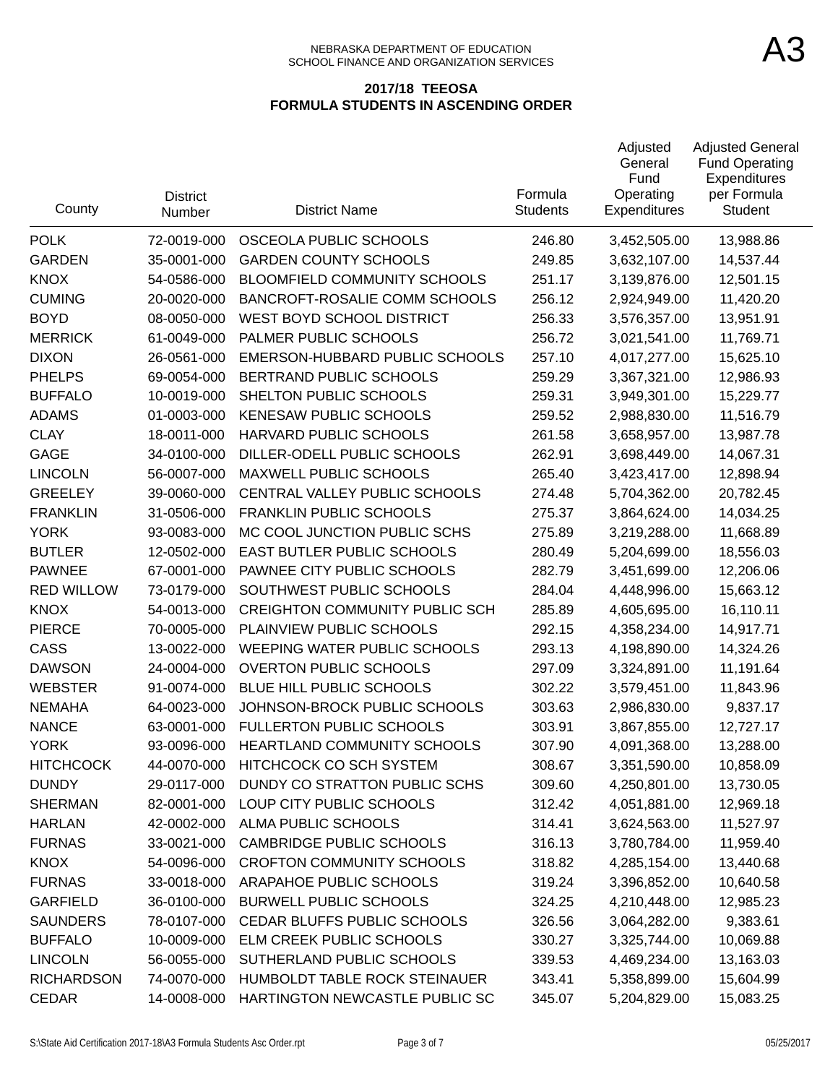| County            | <b>District</b><br>Number | <b>District Name</b>                  | Formula<br><b>Students</b> | Adjusted<br>General<br>Fund<br>Operating<br>Expenditures | <b>Adjusted General</b><br><b>Fund Operating</b><br>Expenditures<br>per Formula<br><b>Student</b> |
|-------------------|---------------------------|---------------------------------------|----------------------------|----------------------------------------------------------|---------------------------------------------------------------------------------------------------|
| <b>POLK</b>       | 72-0019-000               | OSCEOLA PUBLIC SCHOOLS                | 246.80                     | 3,452,505.00                                             | 13,988.86                                                                                         |
| <b>GARDEN</b>     | 35-0001-000               | <b>GARDEN COUNTY SCHOOLS</b>          | 249.85                     | 3,632,107.00                                             | 14,537.44                                                                                         |
| <b>KNOX</b>       | 54-0586-000               | <b>BLOOMFIELD COMMUNITY SCHOOLS</b>   | 251.17                     | 3,139,876.00                                             | 12,501.15                                                                                         |
| <b>CUMING</b>     | 20-0020-000               | BANCROFT-ROSALIE COMM SCHOOLS         | 256.12                     | 2,924,949.00                                             | 11,420.20                                                                                         |
| <b>BOYD</b>       | 08-0050-000               | WEST BOYD SCHOOL DISTRICT             | 256.33                     | 3,576,357.00                                             | 13,951.91                                                                                         |
| <b>MERRICK</b>    | 61-0049-000               | PALMER PUBLIC SCHOOLS                 | 256.72                     | 3,021,541.00                                             | 11,769.71                                                                                         |
| <b>DIXON</b>      | 26-0561-000               | EMERSON-HUBBARD PUBLIC SCHOOLS        | 257.10                     | 4,017,277.00                                             | 15,625.10                                                                                         |
| <b>PHELPS</b>     | 69-0054-000               | BERTRAND PUBLIC SCHOOLS               | 259.29                     | 3,367,321.00                                             | 12,986.93                                                                                         |
| <b>BUFFALO</b>    | 10-0019-000               | SHELTON PUBLIC SCHOOLS                | 259.31                     | 3,949,301.00                                             | 15,229.77                                                                                         |
| <b>ADAMS</b>      | 01-0003-000               | <b>KENESAW PUBLIC SCHOOLS</b>         | 259.52                     | 2,988,830.00                                             | 11,516.79                                                                                         |
| <b>CLAY</b>       | 18-0011-000               | HARVARD PUBLIC SCHOOLS                | 261.58                     | 3,658,957.00                                             | 13,987.78                                                                                         |
| <b>GAGE</b>       | 34-0100-000               | DILLER-ODELL PUBLIC SCHOOLS           | 262.91                     | 3,698,449.00                                             | 14,067.31                                                                                         |
| <b>LINCOLN</b>    | 56-0007-000               | MAXWELL PUBLIC SCHOOLS                | 265.40                     | 3,423,417.00                                             | 12,898.94                                                                                         |
| <b>GREELEY</b>    | 39-0060-000               | CENTRAL VALLEY PUBLIC SCHOOLS         | 274.48                     | 5,704,362.00                                             | 20,782.45                                                                                         |
| <b>FRANKLIN</b>   | 31-0506-000               | <b>FRANKLIN PUBLIC SCHOOLS</b>        | 275.37                     | 3,864,624.00                                             | 14,034.25                                                                                         |
| <b>YORK</b>       | 93-0083-000               | MC COOL JUNCTION PUBLIC SCHS          | 275.89                     | 3,219,288.00                                             | 11,668.89                                                                                         |
| <b>BUTLER</b>     | 12-0502-000               | EAST BUTLER PUBLIC SCHOOLS            | 280.49                     | 5,204,699.00                                             | 18,556.03                                                                                         |
| <b>PAWNEE</b>     | 67-0001-000               | PAWNEE CITY PUBLIC SCHOOLS            | 282.79                     | 3,451,699.00                                             | 12,206.06                                                                                         |
| <b>RED WILLOW</b> | 73-0179-000               | SOUTHWEST PUBLIC SCHOOLS              | 284.04                     | 4,448,996.00                                             | 15,663.12                                                                                         |
| <b>KNOX</b>       | 54-0013-000               | <b>CREIGHTON COMMUNITY PUBLIC SCH</b> | 285.89                     | 4,605,695.00                                             | 16,110.11                                                                                         |
| <b>PIERCE</b>     | 70-0005-000               | PLAINVIEW PUBLIC SCHOOLS              | 292.15                     | 4,358,234.00                                             | 14,917.71                                                                                         |
| CASS              | 13-0022-000               | WEEPING WATER PUBLIC SCHOOLS          | 293.13                     | 4,198,890.00                                             | 14,324.26                                                                                         |
| <b>DAWSON</b>     | 24-0004-000               | <b>OVERTON PUBLIC SCHOOLS</b>         | 297.09                     | 3,324,891.00                                             | 11,191.64                                                                                         |
| <b>WEBSTER</b>    | 91-0074-000               | BLUE HILL PUBLIC SCHOOLS              | 302.22                     | 3,579,451.00                                             | 11,843.96                                                                                         |
| <b>NEMAHA</b>     | 64-0023-000               | JOHNSON-BROCK PUBLIC SCHOOLS          | 303.63                     | 2,986,830.00                                             | 9,837.17                                                                                          |
| <b>NANCE</b>      | 63-0001-000               | <b>FULLERTON PUBLIC SCHOOLS</b>       | 303.91                     | 3,867,855.00                                             | 12,727.17                                                                                         |
| <b>YORK</b>       | 93-0096-000               | <b>HEARTLAND COMMUNITY SCHOOLS</b>    | 307.90                     | 4,091,368.00                                             | 13,288.00                                                                                         |
| <b>HITCHCOCK</b>  | 44-0070-000               | HITCHCOCK CO SCH SYSTEM               | 308.67                     | 3,351,590.00                                             | 10,858.09                                                                                         |
| <b>DUNDY</b>      | 29-0117-000               | DUNDY CO STRATTON PUBLIC SCHS         | 309.60                     | 4,250,801.00                                             | 13,730.05                                                                                         |
| <b>SHERMAN</b>    | 82-0001-000               | LOUP CITY PUBLIC SCHOOLS              | 312.42                     | 4,051,881.00                                             | 12,969.18                                                                                         |
| <b>HARLAN</b>     | 42-0002-000               | ALMA PUBLIC SCHOOLS                   | 314.41                     | 3,624,563.00                                             | 11,527.97                                                                                         |
| <b>FURNAS</b>     | 33-0021-000               | <b>CAMBRIDGE PUBLIC SCHOOLS</b>       | 316.13                     | 3,780,784.00                                             | 11,959.40                                                                                         |
| <b>KNOX</b>       | 54-0096-000               | <b>CROFTON COMMUNITY SCHOOLS</b>      | 318.82                     | 4,285,154.00                                             | 13,440.68                                                                                         |
| <b>FURNAS</b>     | 33-0018-000               | ARAPAHOE PUBLIC SCHOOLS               | 319.24                     | 3,396,852.00                                             | 10,640.58                                                                                         |
| <b>GARFIELD</b>   | 36-0100-000               | <b>BURWELL PUBLIC SCHOOLS</b>         | 324.25                     | 4,210,448.00                                             | 12,985.23                                                                                         |
| <b>SAUNDERS</b>   | 78-0107-000               | CEDAR BLUFFS PUBLIC SCHOOLS           | 326.56                     | 3,064,282.00                                             | 9,383.61                                                                                          |
| <b>BUFFALO</b>    | 10-0009-000               | ELM CREEK PUBLIC SCHOOLS              | 330.27                     | 3,325,744.00                                             | 10,069.88                                                                                         |
| <b>LINCOLN</b>    | 56-0055-000               | SUTHERLAND PUBLIC SCHOOLS             | 339.53                     | 4,469,234.00                                             | 13,163.03                                                                                         |
| <b>RICHARDSON</b> | 74-0070-000               | HUMBOLDT TABLE ROCK STEINAUER         | 343.41                     | 5,358,899.00                                             | 15,604.99                                                                                         |
| <b>CEDAR</b>      | 14-0008-000               | HARTINGTON NEWCASTLE PUBLIC SC        | 345.07                     | 5,204,829.00                                             | 15,083.25                                                                                         |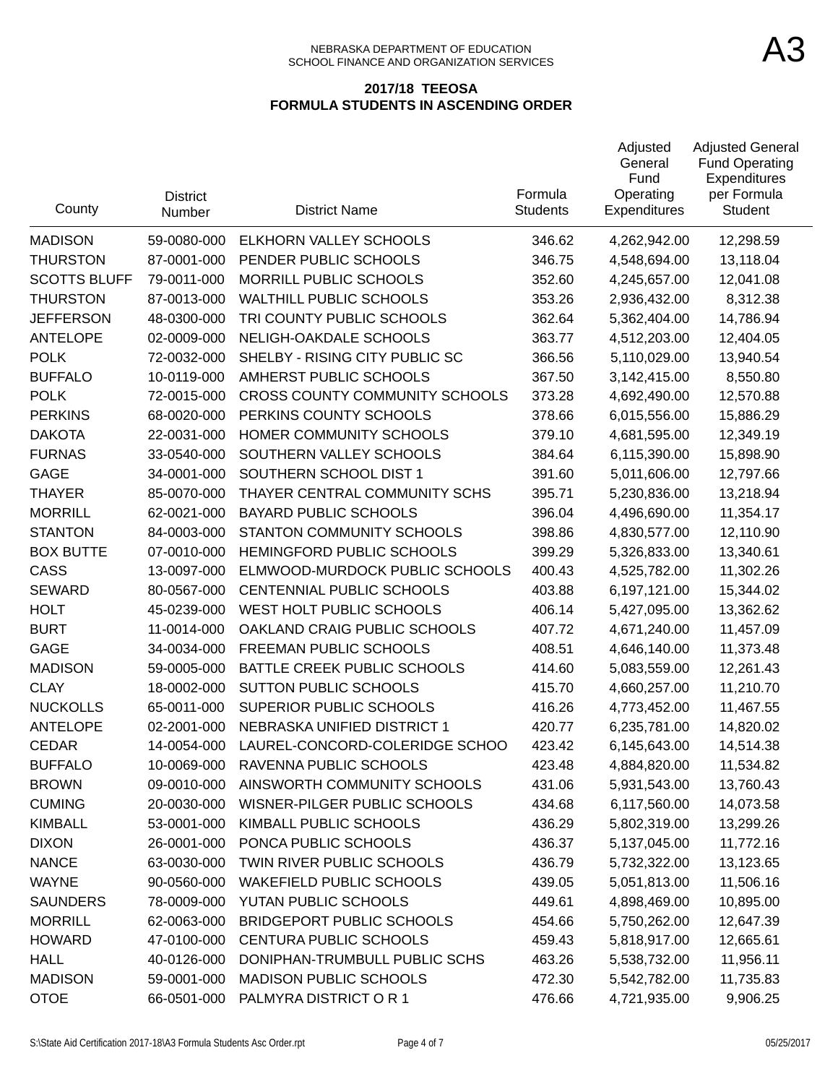| County              | <b>District</b><br>Number | <b>District Name</b>             | Formula<br><b>Students</b> | Adjusted<br>General<br>Fund<br>Operating<br>Expenditures | <b>Adjusted General</b><br><b>Fund Operating</b><br>Expenditures<br>per Formula<br><b>Student</b> |
|---------------------|---------------------------|----------------------------------|----------------------------|----------------------------------------------------------|---------------------------------------------------------------------------------------------------|
| <b>MADISON</b>      | 59-0080-000               | ELKHORN VALLEY SCHOOLS           | 346.62                     | 4,262,942.00                                             | 12,298.59                                                                                         |
| <b>THURSTON</b>     | 87-0001-000               | PENDER PUBLIC SCHOOLS            | 346.75                     | 4,548,694.00                                             | 13,118.04                                                                                         |
| <b>SCOTTS BLUFF</b> | 79-0011-000               | MORRILL PUBLIC SCHOOLS           | 352.60                     | 4,245,657.00                                             | 12,041.08                                                                                         |
| <b>THURSTON</b>     | 87-0013-000               | <b>WALTHILL PUBLIC SCHOOLS</b>   | 353.26                     | 2,936,432.00                                             | 8,312.38                                                                                          |
| <b>JEFFERSON</b>    | 48-0300-000               | TRI COUNTY PUBLIC SCHOOLS        | 362.64                     | 5,362,404.00                                             | 14,786.94                                                                                         |
| <b>ANTELOPE</b>     | 02-0009-000               | NELIGH-OAKDALE SCHOOLS           | 363.77                     | 4,512,203.00                                             | 12,404.05                                                                                         |
| <b>POLK</b>         | 72-0032-000               | SHELBY - RISING CITY PUBLIC SC   | 366.56                     | 5,110,029.00                                             | 13,940.54                                                                                         |
| <b>BUFFALO</b>      | 10-0119-000               | AMHERST PUBLIC SCHOOLS           | 367.50                     | 3,142,415.00                                             | 8,550.80                                                                                          |
| <b>POLK</b>         | 72-0015-000               | CROSS COUNTY COMMUNITY SCHOOLS   | 373.28                     | 4,692,490.00                                             | 12,570.88                                                                                         |
| <b>PERKINS</b>      | 68-0020-000               | PERKINS COUNTY SCHOOLS           | 378.66                     | 6,015,556.00                                             | 15,886.29                                                                                         |
| <b>DAKOTA</b>       | 22-0031-000               | HOMER COMMUNITY SCHOOLS          | 379.10                     | 4,681,595.00                                             | 12,349.19                                                                                         |
| <b>FURNAS</b>       | 33-0540-000               | SOUTHERN VALLEY SCHOOLS          | 384.64                     | 6,115,390.00                                             | 15,898.90                                                                                         |
| <b>GAGE</b>         | 34-0001-000               | SOUTHERN SCHOOL DIST 1           | 391.60                     | 5,011,606.00                                             | 12,797.66                                                                                         |
| <b>THAYER</b>       | 85-0070-000               | THAYER CENTRAL COMMUNITY SCHS    | 395.71                     | 5,230,836.00                                             | 13,218.94                                                                                         |
| <b>MORRILL</b>      | 62-0021-000               | <b>BAYARD PUBLIC SCHOOLS</b>     | 396.04                     | 4,496,690.00                                             | 11,354.17                                                                                         |
| <b>STANTON</b>      | 84-0003-000               | STANTON COMMUNITY SCHOOLS        | 398.86                     | 4,830,577.00                                             | 12,110.90                                                                                         |
| <b>BOX BUTTE</b>    | 07-0010-000               | HEMINGFORD PUBLIC SCHOOLS        | 399.29                     | 5,326,833.00                                             | 13,340.61                                                                                         |
| CASS                | 13-0097-000               | ELMWOOD-MURDOCK PUBLIC SCHOOLS   | 400.43                     | 4,525,782.00                                             | 11,302.26                                                                                         |
| <b>SEWARD</b>       | 80-0567-000               | CENTENNIAL PUBLIC SCHOOLS        | 403.88                     | 6,197,121.00                                             | 15,344.02                                                                                         |
| <b>HOLT</b>         | 45-0239-000               | WEST HOLT PUBLIC SCHOOLS         | 406.14                     | 5,427,095.00                                             | 13,362.62                                                                                         |
| <b>BURT</b>         | 11-0014-000               | OAKLAND CRAIG PUBLIC SCHOOLS     | 407.72                     | 4,671,240.00                                             | 11,457.09                                                                                         |
| <b>GAGE</b>         | 34-0034-000               | FREEMAN PUBLIC SCHOOLS           | 408.51                     | 4,646,140.00                                             | 11,373.48                                                                                         |
| <b>MADISON</b>      | 59-0005-000               | BATTLE CREEK PUBLIC SCHOOLS      | 414.60                     | 5,083,559.00                                             | 12,261.43                                                                                         |
| <b>CLAY</b>         | 18-0002-000               | <b>SUTTON PUBLIC SCHOOLS</b>     | 415.70                     | 4,660,257.00                                             | 11,210.70                                                                                         |
| <b>NUCKOLLS</b>     | 65-0011-000               | SUPERIOR PUBLIC SCHOOLS          | 416.26                     | 4,773,452.00                                             | 11,467.55                                                                                         |
| <b>ANTELOPE</b>     | 02-2001-000               | NEBRASKA UNIFIED DISTRICT 1      | 420.77                     | 6,235,781.00                                             | 14,820.02                                                                                         |
| <b>CEDAR</b>        | 14-0054-000               | LAUREL-CONCORD-COLERIDGE SCHOO   | 423.42                     | 6,145,643.00                                             | 14,514.38                                                                                         |
| <b>BUFFALO</b>      | 10-0069-000               | RAVENNA PUBLIC SCHOOLS           | 423.48                     | 4,884,820.00                                             | 11,534.82                                                                                         |
| <b>BROWN</b>        | 09-0010-000               | AINSWORTH COMMUNITY SCHOOLS      | 431.06                     | 5,931,543.00                                             | 13,760.43                                                                                         |
| <b>CUMING</b>       | 20-0030-000               | WISNER-PILGER PUBLIC SCHOOLS     | 434.68                     | 6,117,560.00                                             | 14,073.58                                                                                         |
| <b>KIMBALL</b>      | 53-0001-000               | KIMBALL PUBLIC SCHOOLS           | 436.29                     | 5,802,319.00                                             | 13,299.26                                                                                         |
| <b>DIXON</b>        | 26-0001-000               | PONCA PUBLIC SCHOOLS             | 436.37                     | 5,137,045.00                                             | 11,772.16                                                                                         |
| <b>NANCE</b>        | 63-0030-000               | TWIN RIVER PUBLIC SCHOOLS        | 436.79                     | 5,732,322.00                                             | 13,123.65                                                                                         |
| <b>WAYNE</b>        | 90-0560-000               | <b>WAKEFIELD PUBLIC SCHOOLS</b>  | 439.05                     | 5,051,813.00                                             | 11,506.16                                                                                         |
| <b>SAUNDERS</b>     | 78-0009-000               | YUTAN PUBLIC SCHOOLS             | 449.61                     | 4,898,469.00                                             | 10,895.00                                                                                         |
| <b>MORRILL</b>      | 62-0063-000               | <b>BRIDGEPORT PUBLIC SCHOOLS</b> | 454.66                     | 5,750,262.00                                             | 12,647.39                                                                                         |
| <b>HOWARD</b>       | 47-0100-000               | CENTURA PUBLIC SCHOOLS           | 459.43                     | 5,818,917.00                                             | 12,665.61                                                                                         |
| <b>HALL</b>         | 40-0126-000               | DONIPHAN-TRUMBULL PUBLIC SCHS    | 463.26                     | 5,538,732.00                                             | 11,956.11                                                                                         |
| <b>MADISON</b>      | 59-0001-000               | <b>MADISON PUBLIC SCHOOLS</b>    | 472.30                     | 5,542,782.00                                             | 11,735.83                                                                                         |
| <b>OTOE</b>         | 66-0501-000               | PALMYRA DISTRICT OR 1            | 476.66                     | 4,721,935.00                                             | 9,906.25                                                                                          |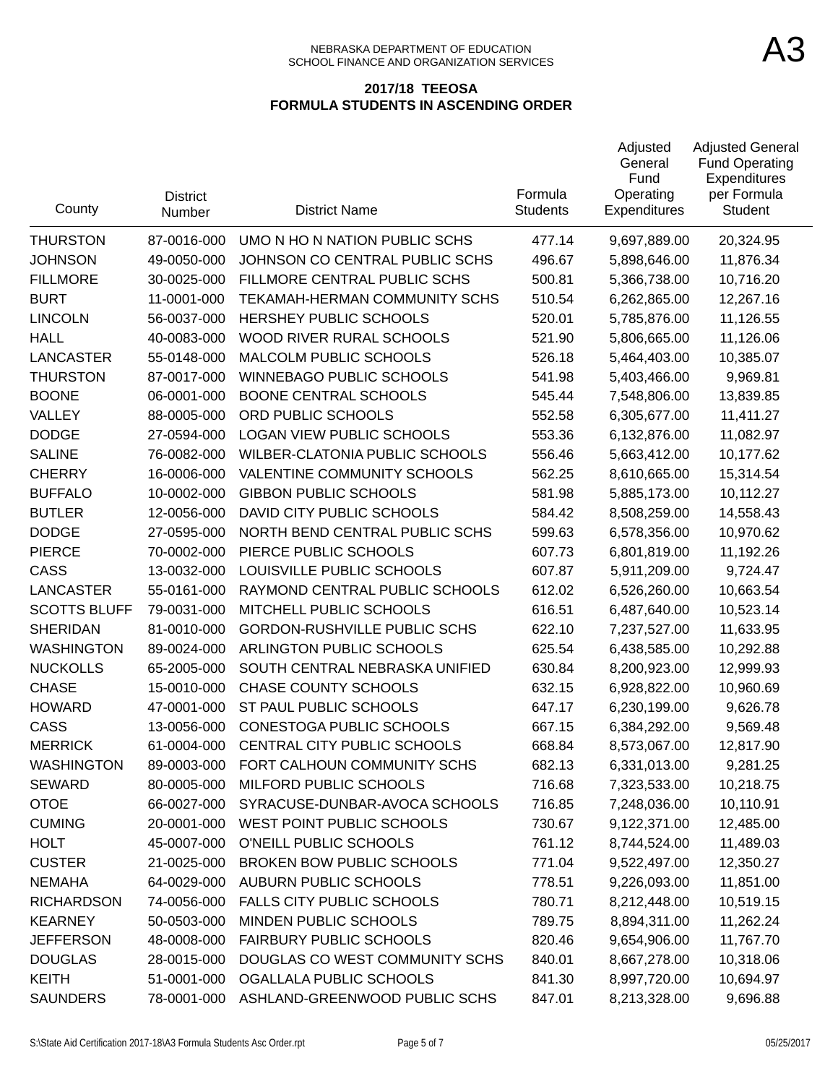#### NEBRASKA DEPARTMENT OF EDUCATION SCHOOL FINANCE AND ORGANIZATION SERVICES

| County              | <b>District</b><br>Number | <b>District Name</b>                 | Formula<br><b>Students</b> | Adjusted<br>General<br>Fund<br>Operating<br><b>Expenditures</b> | <b>Adjusted General</b><br><b>Fund Operating</b><br>Expenditures<br>per Formula<br>Student |
|---------------------|---------------------------|--------------------------------------|----------------------------|-----------------------------------------------------------------|--------------------------------------------------------------------------------------------|
| <b>THURSTON</b>     | 87-0016-000               | UMO N HO N NATION PUBLIC SCHS        | 477.14                     | 9,697,889.00                                                    | 20,324.95                                                                                  |
| <b>JOHNSON</b>      | 49-0050-000               | JOHNSON CO CENTRAL PUBLIC SCHS       | 496.67                     | 5,898,646.00                                                    | 11,876.34                                                                                  |
| <b>FILLMORE</b>     | 30-0025-000               | FILLMORE CENTRAL PUBLIC SCHS         | 500.81                     | 5,366,738.00                                                    | 10,716.20                                                                                  |
| <b>BURT</b>         | 11-0001-000               | <b>TEKAMAH-HERMAN COMMUNITY SCHS</b> | 510.54                     | 6,262,865.00                                                    | 12,267.16                                                                                  |
| <b>LINCOLN</b>      | 56-0037-000               | HERSHEY PUBLIC SCHOOLS               | 520.01                     | 5,785,876.00                                                    | 11,126.55                                                                                  |
| <b>HALL</b>         | 40-0083-000               | WOOD RIVER RURAL SCHOOLS             | 521.90                     | 5,806,665.00                                                    | 11,126.06                                                                                  |
| <b>LANCASTER</b>    | 55-0148-000               | MALCOLM PUBLIC SCHOOLS               | 526.18                     | 5,464,403.00                                                    | 10,385.07                                                                                  |
| <b>THURSTON</b>     | 87-0017-000               | <b>WINNEBAGO PUBLIC SCHOOLS</b>      | 541.98                     | 5,403,466.00                                                    | 9,969.81                                                                                   |
| <b>BOONE</b>        | 06-0001-000               | <b>BOONE CENTRAL SCHOOLS</b>         | 545.44                     | 7,548,806.00                                                    | 13,839.85                                                                                  |
| VALLEY              | 88-0005-000               | ORD PUBLIC SCHOOLS                   | 552.58                     | 6,305,677.00                                                    | 11,411.27                                                                                  |
| <b>DODGE</b>        | 27-0594-000               | LOGAN VIEW PUBLIC SCHOOLS            | 553.36                     | 6,132,876.00                                                    | 11,082.97                                                                                  |
| <b>SALINE</b>       | 76-0082-000               | WILBER-CLATONIA PUBLIC SCHOOLS       | 556.46                     | 5,663,412.00                                                    | 10,177.62                                                                                  |
| <b>CHERRY</b>       | 16-0006-000               | VALENTINE COMMUNITY SCHOOLS          | 562.25                     | 8,610,665.00                                                    | 15,314.54                                                                                  |
| <b>BUFFALO</b>      | 10-0002-000               | <b>GIBBON PUBLIC SCHOOLS</b>         | 581.98                     | 5,885,173.00                                                    | 10,112.27                                                                                  |
| <b>BUTLER</b>       | 12-0056-000               | DAVID CITY PUBLIC SCHOOLS            | 584.42                     | 8,508,259.00                                                    | 14,558.43                                                                                  |
| <b>DODGE</b>        | 27-0595-000               | NORTH BEND CENTRAL PUBLIC SCHS       | 599.63                     | 6,578,356.00                                                    | 10,970.62                                                                                  |
| <b>PIERCE</b>       | 70-0002-000               | PIERCE PUBLIC SCHOOLS                | 607.73                     | 6,801,819.00                                                    | 11,192.26                                                                                  |
| CASS                | 13-0032-000               | LOUISVILLE PUBLIC SCHOOLS            | 607.87                     | 5,911,209.00                                                    | 9,724.47                                                                                   |
| <b>LANCASTER</b>    | 55-0161-000               | RAYMOND CENTRAL PUBLIC SCHOOLS       | 612.02                     | 6,526,260.00                                                    | 10,663.54                                                                                  |
| <b>SCOTTS BLUFF</b> | 79-0031-000               | MITCHELL PUBLIC SCHOOLS              | 616.51                     | 6,487,640.00                                                    | 10,523.14                                                                                  |
| <b>SHERIDAN</b>     | 81-0010-000               | <b>GORDON-RUSHVILLE PUBLIC SCHS</b>  | 622.10                     | 7,237,527.00                                                    | 11,633.95                                                                                  |
| <b>WASHINGTON</b>   | 89-0024-000               | ARLINGTON PUBLIC SCHOOLS             | 625.54                     | 6,438,585.00                                                    | 10,292.88                                                                                  |
| <b>NUCKOLLS</b>     | 65-2005-000               | SOUTH CENTRAL NEBRASKA UNIFIED       | 630.84                     | 8,200,923.00                                                    | 12,999.93                                                                                  |
| <b>CHASE</b>        | 15-0010-000               | <b>CHASE COUNTY SCHOOLS</b>          | 632.15                     | 6,928,822.00                                                    | 10,960.69                                                                                  |
| <b>HOWARD</b>       | 47-0001-000               | ST PAUL PUBLIC SCHOOLS               | 647.17                     | 6,230,199.00                                                    | 9,626.78                                                                                   |
| CASS                | 13-0056-000               | <b>CONESTOGA PUBLIC SCHOOLS</b>      | 667.15                     | 6,384,292.00                                                    | 9,569.48                                                                                   |
| <b>MERRICK</b>      | 61-0004-000               | CENTRAL CITY PUBLIC SCHOOLS          | 668.84                     | 8,573,067.00                                                    | 12,817.90                                                                                  |
| <b>WASHINGTON</b>   | 89-0003-000               | FORT CALHOUN COMMUNITY SCHS          | 682.13                     | 6,331,013.00                                                    | 9,281.25                                                                                   |
| <b>SEWARD</b>       | 80-0005-000               | MILFORD PUBLIC SCHOOLS               | 716.68                     | 7,323,533.00                                                    | 10,218.75                                                                                  |
| <b>OTOE</b>         | 66-0027-000               | SYRACUSE-DUNBAR-AVOCA SCHOOLS        | 716.85                     | 7,248,036.00                                                    | 10,110.91                                                                                  |
| <b>CUMING</b>       | 20-0001-000               | WEST POINT PUBLIC SCHOOLS            | 730.67                     | 9,122,371.00                                                    | 12,485.00                                                                                  |
| <b>HOLT</b>         | 45-0007-000               | O'NEILL PUBLIC SCHOOLS               | 761.12                     | 8,744,524.00                                                    | 11,489.03                                                                                  |
| <b>CUSTER</b>       | 21-0025-000               | <b>BROKEN BOW PUBLIC SCHOOLS</b>     | 771.04                     | 9,522,497.00                                                    | 12,350.27                                                                                  |
| <b>NEMAHA</b>       | 64-0029-000               | <b>AUBURN PUBLIC SCHOOLS</b>         | 778.51                     | 9,226,093.00                                                    | 11,851.00                                                                                  |
| <b>RICHARDSON</b>   | 74-0056-000               | <b>FALLS CITY PUBLIC SCHOOLS</b>     | 780.71                     | 8,212,448.00                                                    | 10,519.15                                                                                  |
| <b>KEARNEY</b>      | 50-0503-000               | MINDEN PUBLIC SCHOOLS                | 789.75                     | 8,894,311.00                                                    | 11,262.24                                                                                  |
| <b>JEFFERSON</b>    | 48-0008-000               | <b>FAIRBURY PUBLIC SCHOOLS</b>       | 820.46                     | 9,654,906.00                                                    | 11,767.70                                                                                  |
| <b>DOUGLAS</b>      | 28-0015-000               | DOUGLAS CO WEST COMMUNITY SCHS       | 840.01                     | 8,667,278.00                                                    | 10,318.06                                                                                  |
| <b>KEITH</b>        | 51-0001-000               | OGALLALA PUBLIC SCHOOLS              | 841.30                     | 8,997,720.00                                                    | 10,694.97                                                                                  |
| <b>SAUNDERS</b>     | 78-0001-000               | ASHLAND-GREENWOOD PUBLIC SCHS        | 847.01                     | 8,213,328.00                                                    | 9,696.88                                                                                   |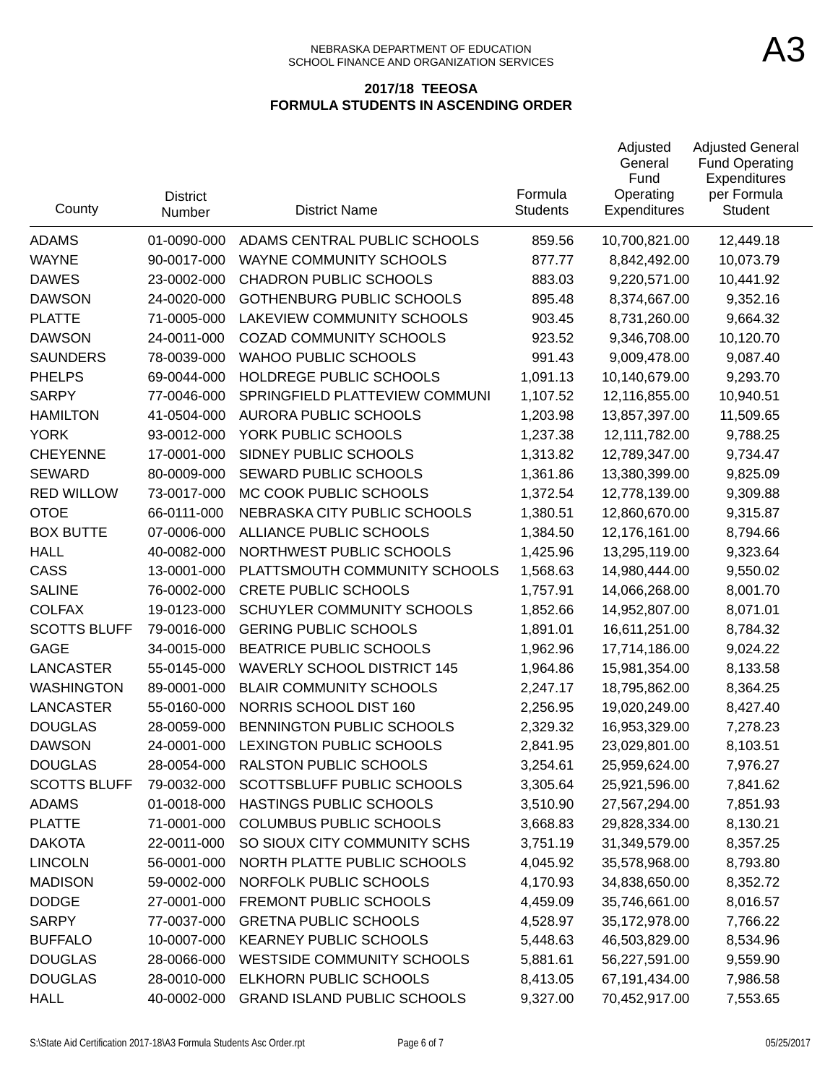| County              | <b>District</b><br>Number | <b>District Name</b>               | Formula<br><b>Students</b> | Adjusted<br>General<br>Fund<br>Operating<br>Expenditures | <b>Adjusted General</b><br><b>Fund Operating</b><br>Expenditures<br>per Formula<br>Student |
|---------------------|---------------------------|------------------------------------|----------------------------|----------------------------------------------------------|--------------------------------------------------------------------------------------------|
| <b>ADAMS</b>        | 01-0090-000               | ADAMS CENTRAL PUBLIC SCHOOLS       | 859.56                     | 10,700,821.00                                            | 12,449.18                                                                                  |
| <b>WAYNE</b>        | 90-0017-000               | WAYNE COMMUNITY SCHOOLS            | 877.77                     | 8,842,492.00                                             | 10,073.79                                                                                  |
| <b>DAWES</b>        | 23-0002-000               | <b>CHADRON PUBLIC SCHOOLS</b>      | 883.03                     | 9,220,571.00                                             | 10,441.92                                                                                  |
| <b>DAWSON</b>       | 24-0020-000               | <b>GOTHENBURG PUBLIC SCHOOLS</b>   | 895.48                     | 8,374,667.00                                             | 9,352.16                                                                                   |
| <b>PLATTE</b>       | 71-0005-000               | LAKEVIEW COMMUNITY SCHOOLS         | 903.45                     | 8,731,260.00                                             | 9,664.32                                                                                   |
| <b>DAWSON</b>       | 24-0011-000               | <b>COZAD COMMUNITY SCHOOLS</b>     | 923.52                     | 9,346,708.00                                             | 10,120.70                                                                                  |
| <b>SAUNDERS</b>     | 78-0039-000               | <b>WAHOO PUBLIC SCHOOLS</b>        | 991.43                     | 9,009,478.00                                             | 9,087.40                                                                                   |
| <b>PHELPS</b>       | 69-0044-000               | HOLDREGE PUBLIC SCHOOLS            | 1,091.13                   | 10,140,679.00                                            | 9,293.70                                                                                   |
| <b>SARPY</b>        | 77-0046-000               | SPRINGFIELD PLATTEVIEW COMMUNI     | 1,107.52                   | 12,116,855.00                                            | 10,940.51                                                                                  |
| <b>HAMILTON</b>     | 41-0504-000               | <b>AURORA PUBLIC SCHOOLS</b>       | 1,203.98                   | 13,857,397.00                                            | 11,509.65                                                                                  |
| <b>YORK</b>         | 93-0012-000               | YORK PUBLIC SCHOOLS                | 1,237.38                   | 12,111,782.00                                            | 9,788.25                                                                                   |
| <b>CHEYENNE</b>     | 17-0001-000               | SIDNEY PUBLIC SCHOOLS              | 1,313.82                   | 12,789,347.00                                            | 9,734.47                                                                                   |
| <b>SEWARD</b>       | 80-0009-000               | SEWARD PUBLIC SCHOOLS              | 1,361.86                   | 13,380,399.00                                            | 9,825.09                                                                                   |
| <b>RED WILLOW</b>   | 73-0017-000               | MC COOK PUBLIC SCHOOLS             | 1,372.54                   | 12,778,139.00                                            | 9,309.88                                                                                   |
| <b>OTOE</b>         | 66-0111-000               | NEBRASKA CITY PUBLIC SCHOOLS       | 1,380.51                   | 12,860,670.00                                            | 9,315.87                                                                                   |
| <b>BOX BUTTE</b>    | 07-0006-000               | ALLIANCE PUBLIC SCHOOLS            | 1,384.50                   | 12,176,161.00                                            | 8,794.66                                                                                   |
| <b>HALL</b>         | 40-0082-000               | NORTHWEST PUBLIC SCHOOLS           | 1,425.96                   | 13,295,119.00                                            | 9,323.64                                                                                   |
| CASS                | 13-0001-000               | PLATTSMOUTH COMMUNITY SCHOOLS      | 1,568.63                   | 14,980,444.00                                            | 9,550.02                                                                                   |
| <b>SALINE</b>       | 76-0002-000               | <b>CRETE PUBLIC SCHOOLS</b>        | 1,757.91                   | 14,066,268.00                                            | 8,001.70                                                                                   |
| <b>COLFAX</b>       | 19-0123-000               | SCHUYLER COMMUNITY SCHOOLS         | 1,852.66                   | 14,952,807.00                                            | 8,071.01                                                                                   |
| <b>SCOTTS BLUFF</b> | 79-0016-000               | <b>GERING PUBLIC SCHOOLS</b>       | 1,891.01                   | 16,611,251.00                                            | 8,784.32                                                                                   |
| <b>GAGE</b>         | 34-0015-000               | <b>BEATRICE PUBLIC SCHOOLS</b>     | 1,962.96                   | 17,714,186.00                                            | 9,024.22                                                                                   |
| <b>LANCASTER</b>    | 55-0145-000               | <b>WAVERLY SCHOOL DISTRICT 145</b> | 1,964.86                   | 15,981,354.00                                            | 8,133.58                                                                                   |
| <b>WASHINGTON</b>   | 89-0001-000               | <b>BLAIR COMMUNITY SCHOOLS</b>     | 2,247.17                   | 18,795,862.00                                            | 8,364.25                                                                                   |
| <b>LANCASTER</b>    | 55-0160-000               | NORRIS SCHOOL DIST 160             | 2,256.95                   | 19,020,249.00                                            | 8,427.40                                                                                   |
| <b>DOUGLAS</b>      | 28-0059-000               | BENNINGTON PUBLIC SCHOOLS          | 2,329.32                   | 16,953,329.00                                            | 7,278.23                                                                                   |
| <b>DAWSON</b>       | 24-0001-000               | <b>LEXINGTON PUBLIC SCHOOLS</b>    | 2,841.95                   | 23,029,801.00                                            | 8,103.51                                                                                   |
| <b>DOUGLAS</b>      | 28-0054-000               | RALSTON PUBLIC SCHOOLS             | 3,254.61                   | 25,959,624.00                                            | 7,976.27                                                                                   |
| <b>SCOTTS BLUFF</b> | 79-0032-000               | SCOTTSBLUFF PUBLIC SCHOOLS         | 3,305.64                   | 25,921,596.00                                            | 7,841.62                                                                                   |
| <b>ADAMS</b>        | 01-0018-000               | HASTINGS PUBLIC SCHOOLS            | 3,510.90                   | 27,567,294.00                                            | 7,851.93                                                                                   |
| <b>PLATTE</b>       | 71-0001-000               | <b>COLUMBUS PUBLIC SCHOOLS</b>     | 3,668.83                   | 29,828,334.00                                            | 8,130.21                                                                                   |
| <b>DAKOTA</b>       | 22-0011-000               | SO SIOUX CITY COMMUNITY SCHS       | 3,751.19                   | 31,349,579.00                                            | 8,357.25                                                                                   |
| <b>LINCOLN</b>      | 56-0001-000               | NORTH PLATTE PUBLIC SCHOOLS        | 4,045.92                   | 35,578,968.00                                            | 8,793.80                                                                                   |
| <b>MADISON</b>      | 59-0002-000               | NORFOLK PUBLIC SCHOOLS             | 4,170.93                   | 34,838,650.00                                            | 8,352.72                                                                                   |
| <b>DODGE</b>        | 27-0001-000               | FREMONT PUBLIC SCHOOLS             | 4,459.09                   | 35,746,661.00                                            | 8,016.57                                                                                   |
| <b>SARPY</b>        | 77-0037-000               | <b>GRETNA PUBLIC SCHOOLS</b>       | 4,528.97                   | 35,172,978.00                                            | 7,766.22                                                                                   |
| <b>BUFFALO</b>      | 10-0007-000               | <b>KEARNEY PUBLIC SCHOOLS</b>      | 5,448.63                   | 46,503,829.00                                            | 8,534.96                                                                                   |
| <b>DOUGLAS</b>      | 28-0066-000               | <b>WESTSIDE COMMUNITY SCHOOLS</b>  | 5,881.61                   | 56,227,591.00                                            | 9,559.90                                                                                   |
| <b>DOUGLAS</b>      | 28-0010-000               | ELKHORN PUBLIC SCHOOLS             | 8,413.05                   | 67,191,434.00                                            | 7,986.58                                                                                   |
| <b>HALL</b>         | 40-0002-000               | <b>GRAND ISLAND PUBLIC SCHOOLS</b> | 9,327.00                   | 70,452,917.00                                            | 7,553.65                                                                                   |